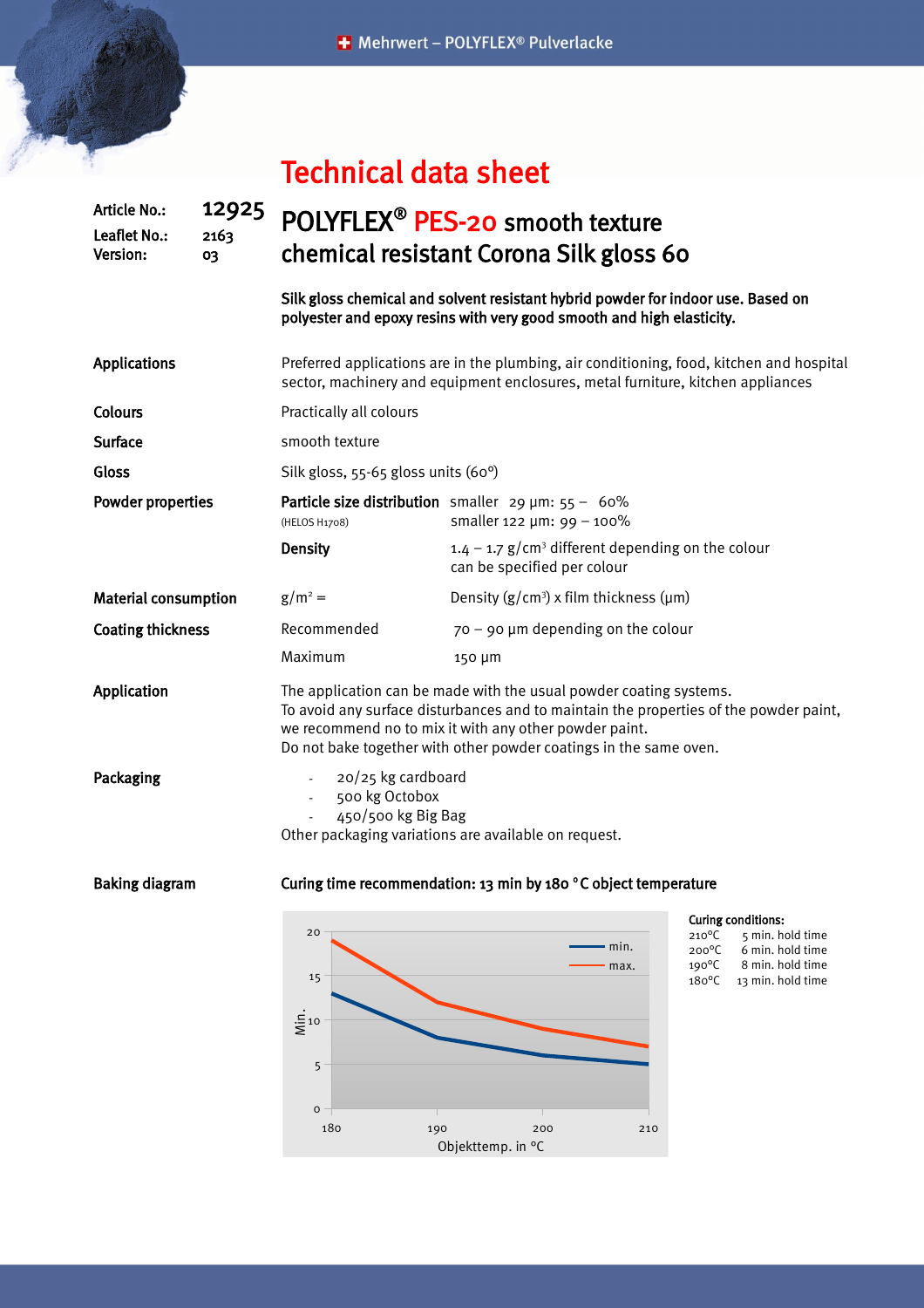## Technical data sheet

## Article No.: 12925 Leaflet No.: 2163 Version: 03 POLYFLEX<sup>®</sup> PES-20 smooth texture chemical resistant Corona Silk gloss 60

Silk gloss chemical and solvent resistant hybrid powder for indoor use. Based on polyester and epoxy resins with very good smooth and high elasticity.

Applications Preferred applications are in the plumbing, air conditioning, food, kitchen and hospital sector, machinery and equipment enclosures, metal furniture, kitchen appliances Colours **Practically all colours** Surface smooth texture Gloss Silk gloss, 55-65 gloss units (60°) Powder properties Particle size distribution smaller  $29 \mu m: 55 - 60\%$ (HELOS H1708) smaller 122 µm: 99 – 100% **Density** 1.4 - 1.7 g/cm<sup>3</sup> different depending on the colour can be specified per colour **Material consumption**  $g/m^2 =$  $=$  Density ( $g/cm<sup>3</sup>$ ) x film thickness ( $\mu$ m) **Coating thickness** Recommended  $70 - 90 \mu$ m depending on the colour Maximum 150 µm Application The application can be made with the usual powder coating systems. To avoid any surface disturbances and to maintain the properties of the powder paint, we recommend no to mix it with any other powder paint. Do not bake together with other powder coatings in the same oven. Packaging **20/25** kg cardboard - 500 kg Octobox 450/500 kg Big Bag Other packaging variations are available on request.



Baking diagram Curing time recommendation: 13 min by 180 °C object temperature